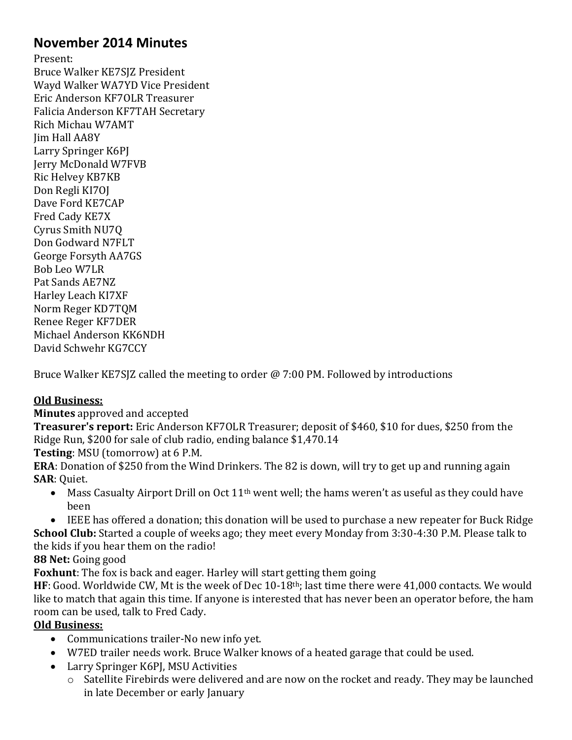# **November 2014 Minutes**

Present: Bruce Walker KE7SJZ President Wayd Walker WA7YD Vice President Eric Anderson KF7OLR Treasurer Falicia Anderson KF7TAH Secretary Rich Michau W7AMT Jim Hall AA8Y Larry Springer K6PJ Jerry McDonald W7FVB Ric Helvey KB7KB Don Regli KI7OJ Dave Ford KE7CAP Fred Cady KE7X Cyrus Smith NU7Q Don Godward N7FLT George Forsyth AA7GS Bob Leo W7LR Pat Sands AE7NZ Harley Leach KI7XF Norm Reger KD7TQM Renee Reger KF7DER Michael Anderson KK6NDH David Schwehr KG7CCY

Bruce Walker KE7SJZ called the meeting to order @ 7:00 PM. Followed by introductions

## **Old Business:**

**Minutes** approved and accepted

**Treasurer's report:** Eric Anderson KF7OLR Treasurer; deposit of \$460, \$10 for dues, \$250 from the Ridge Run, \$200 for sale of club radio, ending balance \$1,470.14

**Testing**: MSU (tomorrow) at 6 P.M.

**ERA**: Donation of \$250 from the Wind Drinkers. The 82 is down, will try to get up and running again **SAR**: Quiet.

- Mass Casualty Airport Drill on Oct  $11<sup>th</sup>$  went well; the hams weren't as useful as they could have been
- IEEE has offered a donation; this donation will be used to purchase a new repeater for Buck Ridge **School Club:** Started a couple of weeks ago; they meet every Monday from 3:30-4:30 P.M. Please talk to the kids if you hear them on the radio!

**88 Net:** Going good

**Foxhunt**: The fox is back and eager. Harley will start getting them going

HF: Good. Worldwide CW, Mt is the week of Dec 10-18<sup>th</sup>; last time there were 41,000 contacts. We would like to match that again this time. If anyone is interested that has never been an operator before, the ham room can be used, talk to Fred Cady.

## **Old Business:**

- Communications trailer-No new info yet.
- W7ED trailer needs work. Bruce Walker knows of a heated garage that could be used.
- Larry Springer K6PJ, MSU Activities
	- o Satellite Firebirds were delivered and are now on the rocket and ready. They may be launched in late December or early January